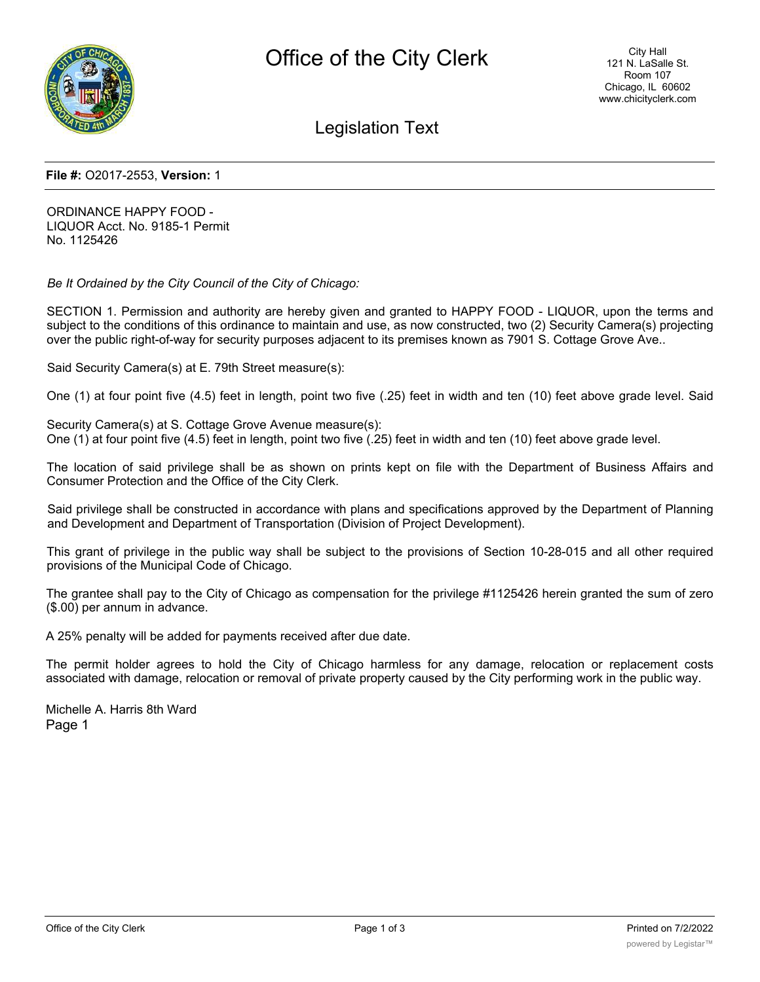

Legislation Text

#### **File #:** O2017-2553, **Version:** 1

ORDINANCE HAPPY FOOD - LIQUOR Acct. No. 9185-1 Permit No. 1125426

*Be It Ordained by the City Council of the City of Chicago:*

SECTION 1. Permission and authority are hereby given and granted to HAPPY FOOD - LIQUOR, upon the terms and subject to the conditions of this ordinance to maintain and use, as now constructed, two (2) Security Camera(s) projecting over the public right-of-way for security purposes adjacent to its premises known as 7901 S. Cottage Grove Ave..

Said Security Camera(s) at E. 79th Street measure(s):

One (1) at four point five (4.5) feet in length, point two five (.25) feet in width and ten (10) feet above grade level. Said

Security Camera(s) at S. Cottage Grove Avenue measure(s): One (1) at four point five (4.5) feet in length, point two five (.25) feet in width and ten (10) feet above grade level.

The location of said privilege shall be as shown on prints kept on file with the Department of Business Affairs and Consumer Protection and the Office of the City Clerk.

Said privilege shall be constructed in accordance with plans and specifications approved by the Department of Planning and Development and Department of Transportation (Division of Project Development).

This grant of privilege in the public way shall be subject to the provisions of Section 10-28-015 and all other required provisions of the Municipal Code of Chicago.

The grantee shall pay to the City of Chicago as compensation for the privilege #1125426 herein granted the sum of zero (\$.00) per annum in advance.

A 25% penalty will be added for payments received after due date.

The permit holder agrees to hold the City of Chicago harmless for any damage, relocation or replacement costs associated with damage, relocation or removal of private property caused by the City performing work in the public way.

Michelle A. Harris 8th Ward Page 1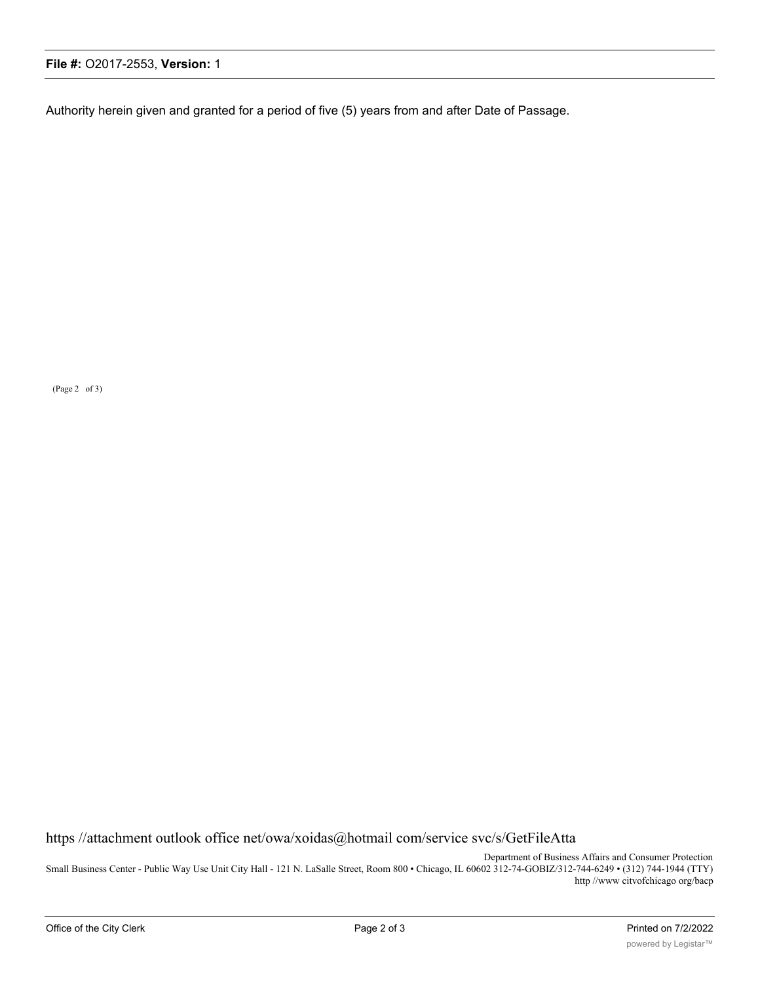Authority herein given and granted for a period of five (5) years from and after Date of Passage.

(Page 2 of 3)

https //attachment outlook office net/owa/xoidas@hotmail com/service svc/s/GetFileAtta

Department of Business Affairs and Consumer Protection Small Business Center - Public Way Use Unit City Hall - 121 N. LaSalle Street, Room 800 • Chicago, IL 60602 312-74-GOBIZ/312-744-6249 • (312) 744-1944 (TTY) http //www citvofchicago org/bacp